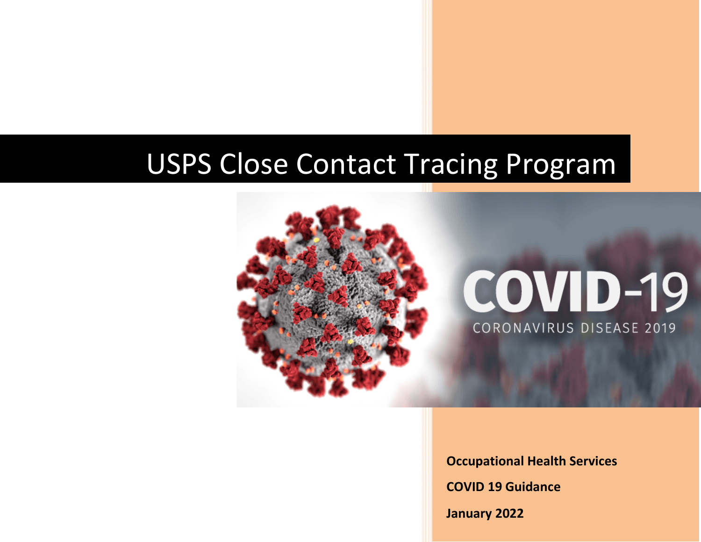

**Occupational Health Services** 

**COVID 19 Guidance**

**January 2022**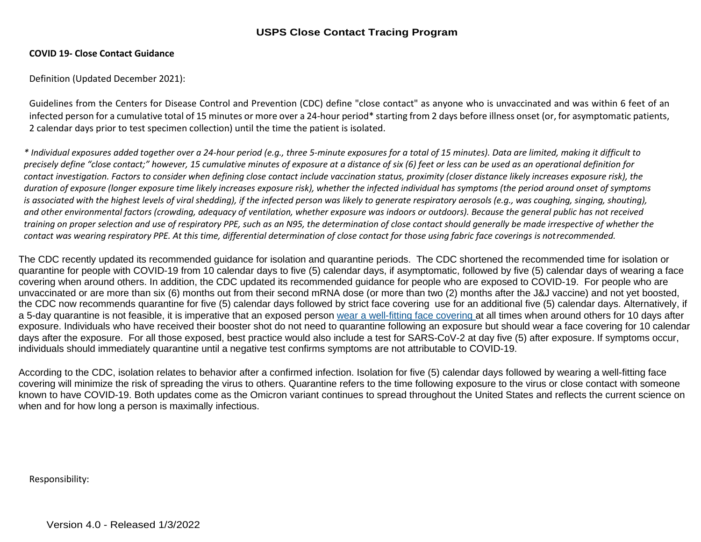#### **COVID 19- Close Contact Guidance**

Definition (Updated December 2021):

Guidelines from the Centers for Disease Control and Prevention (CDC) define "close contact" as anyone who is unvaccinated and was within 6 feet of an infected person for a cumulative total of 15 minutes or more over a 24-hour period\* starting from 2 days before illness onset (or, for asymptomatic patients, 2 calendar days prior to test specimen collection) until the time the patient is isolated.

*\* Individual exposures added together over a 24-hour period (e.g., three 5-minute exposures for a total of 15 minutes). Data are limited, making it difficult to precisely define "close contact;" however, 15 cumulative minutes of exposure at a distance of six (6) feet or less can be used as an operational definition for contact investigation. Factors to consider when defining close contact include vaccination status, proximity (closer distance likely increases exposure risk), the duration of exposure (longer exposure time likely increases exposure risk), whether the infected individual has symptoms (the period around onset of symptoms*  is associated with the highest levels of viral shedding), if the infected person was likely to generate respiratory aerosols (e.g., was coughing, singing, shouting), *and other environmental factors (crowding, adequacy of ventilation, whether exposure was indoors or outdoors). Because the general public has not received training on proper selection and use of respiratory PPE, such as an N95, the determination of close contact should generally be made irrespective of whether the*  contact was wearing respiratory PPE. At this time, differential determination of close contact for those using fabric face coverings is notrecommended.

The CDC recently updated its recommended guidance for isolation and quarantine periods. The CDC shortened the recommended time for isolation or quarantine for people with COVID-19 from 10 calendar days to five (5) calendar days, if asymptomatic, followed by five (5) calendar days of wearing a face covering when around others. In addition, the CDC updated its recommended guidance for people who are exposed to COVID-19. For people who are unvaccinated or are more than six (6) months out from their second mRNA dose (or more than two (2) months after the J&J vaccine) and not yet boosted, the CDC now recommends quarantine for five (5) calendar days followed by strict face covering use for an additional five (5) calendar days. Alternatively, if a 5-day quarantine is not feasible, it is imperative that an exposed person [wear a well-fitting face covering a](https://gcc02.safelinks.protection.outlook.com/?url=https%3A%2F%2Fwww.cdc.gov%2Fcoronavirus%2F2019-ncov%2Fyour-health%2Feffective-masks.html&data=04%7C01%7CLinda.DeCarlo%40usps.gov%7C870ddf68eb7445bcddb208d9c9ff5a21%7Cf9aa5788eb334a498ad076101910cac3%7C0%7C0%7C637762920998865131%7CUnknown%7CTWFpbGZsb3d8eyJWIjoiMC4wLjAwMDAiLCJQIjoiV2luMzIiLCJBTiI6Ik1haWwiLCJXVCI6Mn0%3D%7C3000&sdata=8W2ikT197k%2BnktoR7MF6ExVoEgJzXO%2FDqOHK%2F2XHO24%3D&reserved=0)t all times when around others for 10 days after exposure. Individuals who have received their booster shot do not need to quarantine following an exposure but should wear a face covering for 10 calendar days after the exposure. For all those exposed, best practice would also include a test for SARS-CoV-2 at day five (5) after exposure. If symptoms occur, individuals should immediately quarantine until a negative test confirms symptoms are not attributable to COVID-19.

According to the CDC, isolation relates to behavior after a confirmed infection. Isolation for five (5) calendar days followed by wearing a well-fitting face covering will minimize the risk of spreading the virus to others. Quarantine refers to the time following exposure to the virus or close contact with someone known to have COVID-19. Both updates come as the Omicron variant continues to spread throughout the United States and reflects the current science on when and for how long a person is maximally infectious.

Responsibility: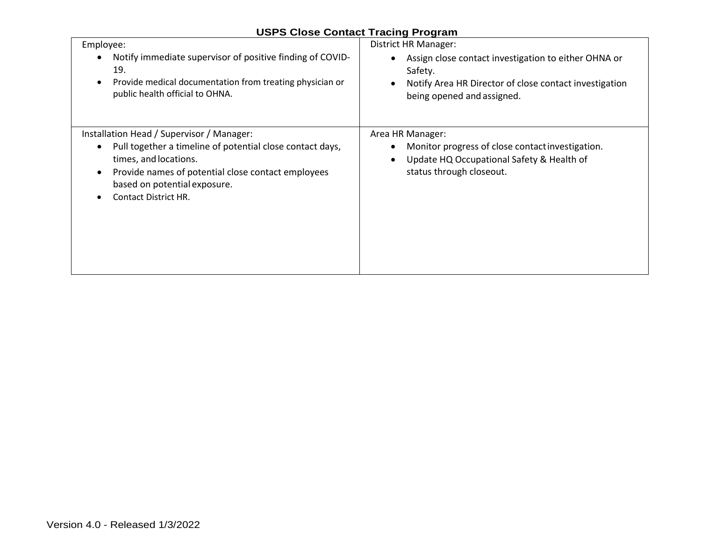|  |  | <b>USPS Close Contact Tracing Program</b> |
|--|--|-------------------------------------------|
|  |  |                                           |

| Employee:                                                                                                                                                                                                                                                                                   | District HR Manager:                                                                                                                                                    |
|---------------------------------------------------------------------------------------------------------------------------------------------------------------------------------------------------------------------------------------------------------------------------------------------|-------------------------------------------------------------------------------------------------------------------------------------------------------------------------|
| Notify immediate supervisor of positive finding of COVID-                                                                                                                                                                                                                                   | Assign close contact investigation to either OHNA or                                                                                                                    |
| $\bullet$                                                                                                                                                                                                                                                                                   | $\bullet$                                                                                                                                                               |
| 19.                                                                                                                                                                                                                                                                                         | Safety.                                                                                                                                                                 |
| Provide medical documentation from treating physician or                                                                                                                                                                                                                                    | Notify Area HR Director of close contact investigation                                                                                                                  |
| $\bullet$                                                                                                                                                                                                                                                                                   | $\bullet$                                                                                                                                                               |
| public health official to OHNA.                                                                                                                                                                                                                                                             | being opened and assigned.                                                                                                                                              |
| Installation Head / Supervisor / Manager:<br>Pull together a timeline of potential close contact days,<br>$\bullet$<br>times, and locations.<br>Provide names of potential close contact employees<br>$\bullet$<br>based on potential exposure.<br><b>Contact District HR.</b><br>$\bullet$ | Area HR Manager:<br>Monitor progress of close contact investigation.<br>$\bullet$<br>Update HQ Occupational Safety & Health of<br>$\bullet$<br>status through closeout. |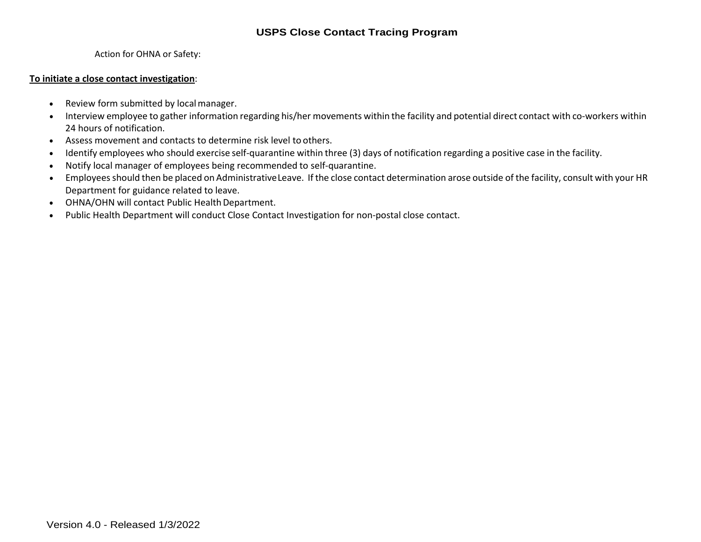Action for OHNA or Safety:

#### **To initiate a close contact investigation**:

- Review form submitted by local manager.
- Interview employee to gather information regarding his/her movements within the facility and potential direct contact with co-workers within 24 hours of notification.
- Assess movement and contacts to determine risk level to others.
- Identify employees who should exercise self-quarantine within three (3) days of notification regarding a positive case in the facility.
- Notify local manager of employees being recommended to self-quarantine.
- Employeesshould then be placed on Administrative Leave. If the close contact determination arose outside of the facility, consult with your HR Department for guidance related to leave.
- OHNA/OHN will contact Public Health Department.
- Public Health Department will conduct Close Contact Investigation for non-postal close contact.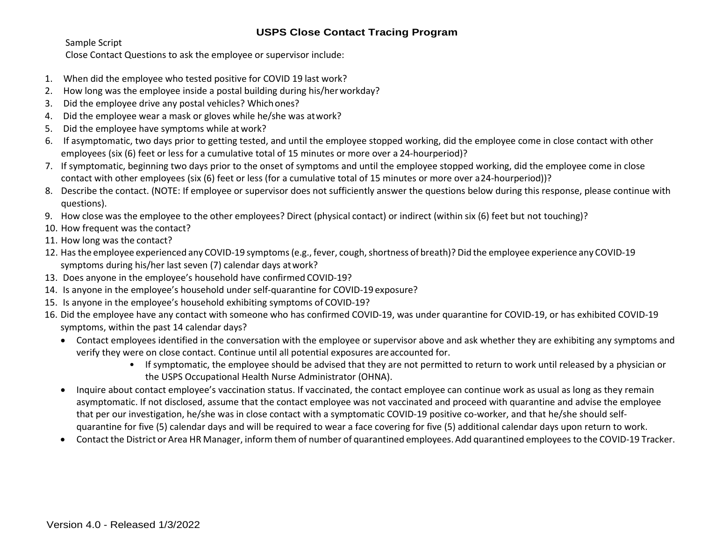Sample Script

Close Contact Questions to ask the employee or supervisor include:

- 1. When did the employee who tested positive for COVID 19 last work?
- 2. How long was the employee inside a postal building during his/her workday?
- 3. Did the employee drive any postal vehicles? Whichones?
- 4. Did the employee wear a mask or gloves while he/she was atwork?
- 5. Did the employee have symptoms while at work?
- 6. If asymptomatic, two days prior to getting tested, and until the employee stopped working, did the employee come in close contact with other employees (six (6) feet or less for a cumulative total of 15 minutes or more over a 24-hourperiod)?
- 7. If symptomatic, beginning two days prior to the onset of symptoms and until the employee stopped working, did the employee come in close contact with other employees (six (6) feet or less (for a cumulative total of 15 minutes or more over a24-hourperiod))?
- 8. Describe the contact. (NOTE: If employee or supervisor does not sufficiently answer the questions below during this response, please continue with questions).
- 9. How close was the employee to the other employees? Direct (physical contact) or indirect (within six (6) feet but not touching)?
- 10. How frequent was the contact?
- 11. How long was the contact?
- 12. Has the employee experienced any COVID-19 symptoms(e.g., fever, cough,shortness of breath)? Did the employee experience any COVID-19 symptoms during his/her last seven (7) calendar days atwork?
- 13. Does anyone in the employee's household have confirmed COVID-19?
- 14. Is anyone in the employee's household under self-quarantine for COVID-19 exposure?
- 15. Is anyone in the employee's household exhibiting symptoms of COVID-19?
- 16. Did the employee have any contact with someone who has confirmed COVID-19, was under quarantine for COVID-19, or has exhibited COVID-19 symptoms, within the past 14 calendar days?
	- Contact employees identified in the conversation with the employee or supervisor above and ask whether they are exhibiting any symptoms and verify they were on close contact. Continue until all potential exposures areaccounted for.
		- If symptomatic, the employee should be advised that they are not permitted to return to work until released by a physician or the USPS Occupational Health Nurse Administrator (OHNA).
	- Inquire about contact employee's vaccination status. If vaccinated, the contact employee can continue work as usual as long as they remain asymptomatic. If not disclosed, assume that the contact employee was not vaccinated and proceed with quarantine and advise the employee that per our investigation, he/she was in close contact with a symptomatic COVID-19 positive co-worker, and that he/she should selfquarantine for five (5) calendar days and will be required to wear a face covering for five (5) additional calendar days upon return to work.
	- Contact the District or Area HR Manager, inform them of number of quarantined employees.Add quarantined employees to the COVID-19 Tracker.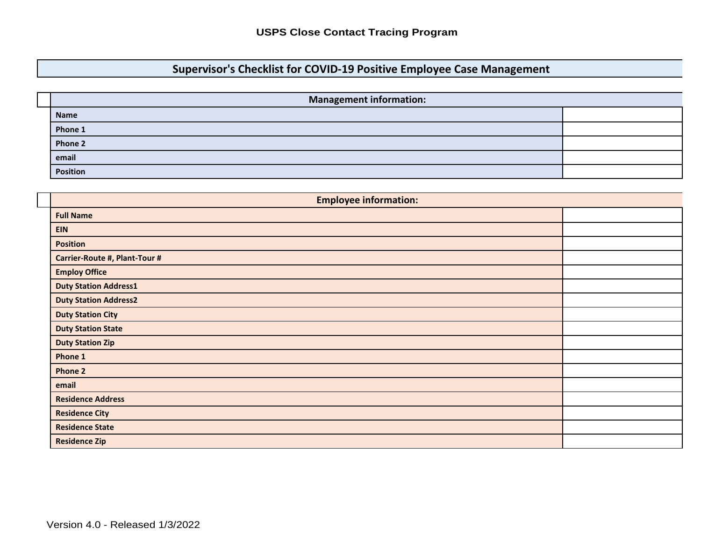# **Supervisor's Checklist for COVID-19 Positive Employee Case Management**

| <b>Management information:</b> |  |
|--------------------------------|--|
| <b>Name</b>                    |  |
| Phone 1                        |  |
| Phone 2                        |  |
| email                          |  |
| <b>Position</b>                |  |

| <b>Employee information:</b>  |  |  |  |  |  |  |  |  |  |
|-------------------------------|--|--|--|--|--|--|--|--|--|
| <b>Full Name</b>              |  |  |  |  |  |  |  |  |  |
| <b>EIN</b>                    |  |  |  |  |  |  |  |  |  |
| <b>Position</b>               |  |  |  |  |  |  |  |  |  |
| Carrier-Route #, Plant-Tour # |  |  |  |  |  |  |  |  |  |
| <b>Employ Office</b>          |  |  |  |  |  |  |  |  |  |
| <b>Duty Station Address1</b>  |  |  |  |  |  |  |  |  |  |
| <b>Duty Station Address2</b>  |  |  |  |  |  |  |  |  |  |
| <b>Duty Station City</b>      |  |  |  |  |  |  |  |  |  |
| <b>Duty Station State</b>     |  |  |  |  |  |  |  |  |  |
| <b>Duty Station Zip</b>       |  |  |  |  |  |  |  |  |  |
| Phone 1                       |  |  |  |  |  |  |  |  |  |
| <b>Phone 2</b>                |  |  |  |  |  |  |  |  |  |
| email                         |  |  |  |  |  |  |  |  |  |
| <b>Residence Address</b>      |  |  |  |  |  |  |  |  |  |
| <b>Residence City</b>         |  |  |  |  |  |  |  |  |  |
| <b>Residence State</b>        |  |  |  |  |  |  |  |  |  |
| <b>Residence Zip</b>          |  |  |  |  |  |  |  |  |  |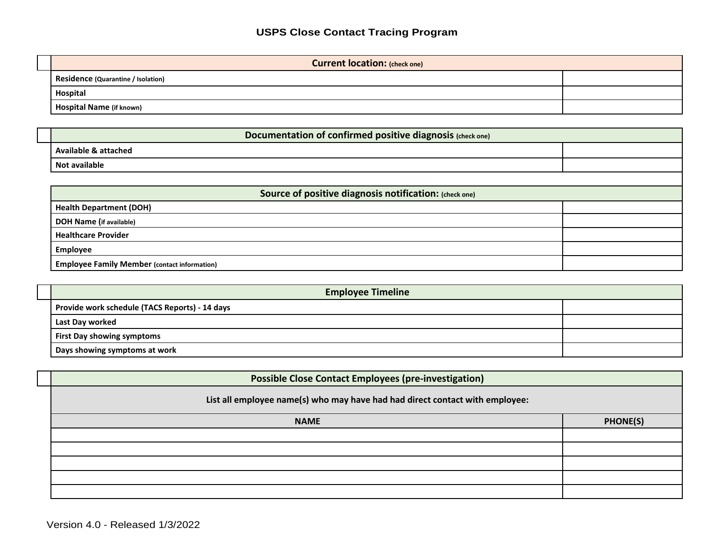| <b>Current location: (check one)</b>      |  |
|-------------------------------------------|--|
| <b>Residence (Quarantine / Isolation)</b> |  |
| <b>Hospital</b>                           |  |
| Hospital Name (if known)                  |  |

| Documentation of confirmed positive diagnosis (check one) |  |  |  |  |  |  |  |  |  |
|-----------------------------------------------------------|--|--|--|--|--|--|--|--|--|
| <b>Available &amp; attached</b>                           |  |  |  |  |  |  |  |  |  |
| <b>Not available</b>                                      |  |  |  |  |  |  |  |  |  |
|                                                           |  |  |  |  |  |  |  |  |  |
| Source of positive diagnosis notification: (check one)    |  |  |  |  |  |  |  |  |  |
| <b>Health Department (DOH)</b>                            |  |  |  |  |  |  |  |  |  |
| <b>DOH Name (if available)</b>                            |  |  |  |  |  |  |  |  |  |
| <b>Healthcare Provider</b>                                |  |  |  |  |  |  |  |  |  |
| <b>Employee</b>                                           |  |  |  |  |  |  |  |  |  |
| <b>Employee Family Member (contact information)</b>       |  |  |  |  |  |  |  |  |  |

| <b>Employee Timeline</b>                       |  |
|------------------------------------------------|--|
| Provide work schedule (TACS Reports) - 14 days |  |
| Last Day worked                                |  |
| <b>First Day showing symptoms</b>              |  |
| Days showing symptoms at work                  |  |

| <b>Possible Close Contact Employees (pre-investigation)</b>                  |                |
|------------------------------------------------------------------------------|----------------|
| List all employee name(s) who may have had had direct contact with employee: |                |
| <b>NAME</b>                                                                  | <b>PHONE(S</b> |
|                                                                              |                |
|                                                                              |                |
|                                                                              |                |
|                                                                              |                |
|                                                                              |                |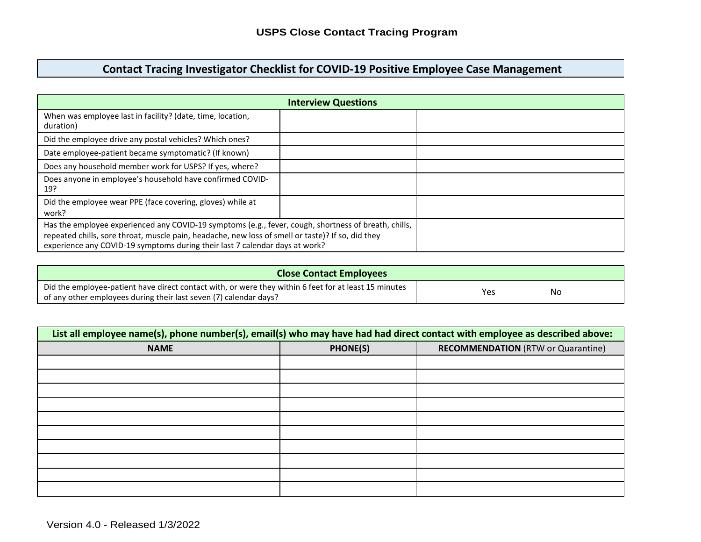# **Contact Tracing Investigator Checklist for COVID-19 Positive Employee Case Management**

| When was employee last in facility? (date, time, location,<br>duration) |                                                                                                                                                                                                                                                                                          |  |  |  |  |  |  |
|-------------------------------------------------------------------------|------------------------------------------------------------------------------------------------------------------------------------------------------------------------------------------------------------------------------------------------------------------------------------------|--|--|--|--|--|--|
| Did the employee drive any postal vehicles? Which ones?                 |                                                                                                                                                                                                                                                                                          |  |  |  |  |  |  |
| Date employee-patient became symptomatic? (If known)                    |                                                                                                                                                                                                                                                                                          |  |  |  |  |  |  |
| Does any household member work for USPS? If yes, where?                 |                                                                                                                                                                                                                                                                                          |  |  |  |  |  |  |
| Does anyone in employee's household have confirmed COVID-<br>19?        |                                                                                                                                                                                                                                                                                          |  |  |  |  |  |  |
| Did the employee wear PPE (face covering, gloves) while at<br>work?     |                                                                                                                                                                                                                                                                                          |  |  |  |  |  |  |
|                                                                         | Has the employee experienced any COVID-19 symptoms (e.g., fever, cough, shortness of breath, chills,<br>repeated chills, sore throat, muscle pain, headache, new loss of smell or taste)? If so, did they<br>experience any COVID-19 symptoms during their last 7 calendar days at work? |  |  |  |  |  |  |

| <b>Close Contact Employees</b>                                                                        |     |    |
|-------------------------------------------------------------------------------------------------------|-----|----|
| Did the employee-patient have direct contact with, or were they within 6 feet for at least 15 minutes |     | No |
| of any other employees during their last seven (7) calendar days?                                     | Yes |    |

| List all employee name(s), phone number(s), email(s) who may have had had direct contact with employee as described above: |          |                                           |
|----------------------------------------------------------------------------------------------------------------------------|----------|-------------------------------------------|
| <b>NAME</b>                                                                                                                | PHONE(S) | <b>RECOMMENDATION (RTW or Quarantine)</b> |
|                                                                                                                            |          |                                           |
|                                                                                                                            |          |                                           |
|                                                                                                                            |          |                                           |
|                                                                                                                            |          |                                           |
|                                                                                                                            |          |                                           |
|                                                                                                                            |          |                                           |
|                                                                                                                            |          |                                           |
|                                                                                                                            |          |                                           |
|                                                                                                                            |          |                                           |
|                                                                                                                            |          |                                           |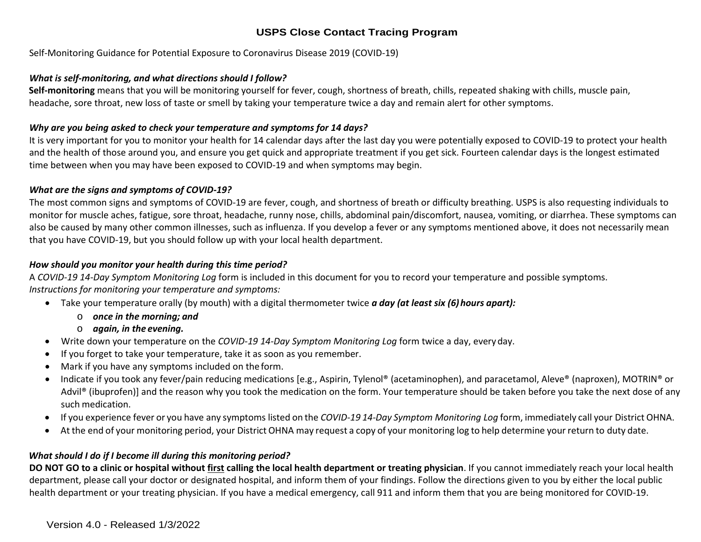Self-Monitoring Guidance for Potential Exposure to Coronavirus Disease 2019 (COVID-19)

#### *What is self-monitoring, and what directions should I follow?*

**Self-monitoring** means that you will be monitoring yourself for fever, cough, shortness of breath, chills, repeated shaking with chills, muscle pain, headache, sore throat, new loss of taste or smell by taking your temperature twice a day and remain alert for other symptoms.

#### *Why are you being asked to check your temperature and symptoms for 14 days?*

It is very important for you to monitor your health for 14 calendar days after the last day you were potentially exposed to COVID-19 to protect your health and the health of those around you, and ensure you get quick and appropriate treatment if you get sick. Fourteen calendar days is the longest estimated time between when you may have been exposed to COVID-19 and when symptoms may begin.

#### *What are the signs and symptoms of COVID-19?*

The most common signs and symptoms of COVID-19 are fever, cough, and shortness of breath or difficulty breathing. USPS is also requesting individuals to monitor for muscle aches, fatigue, sore throat, headache, runny nose, chills, abdominal pain/discomfort, nausea, vomiting, or diarrhea. These symptoms can also be caused by many other common illnesses, such as influenza. If you develop a fever or any symptoms mentioned above, it does not necessarily mean that you have COVID-19, but you should follow up with your local health department.

#### *How should you monitor your health during this time period?*

A *COVID-19 14-Day Symptom Monitoring Log* form is included in this document for you to record your temperature and possible symptoms. *Instructions for monitoring your temperature and symptoms:*

- Take your temperature orally (by mouth) with a digital thermometer twice *a day (at least six (6) hours apart):*
	- o *once in the morning; and*
	- o *again, in the evening.*
- Write down your temperature on the *COVID-19 14-Day Symptom Monitoring Log* form twice a day, everyday.
- If you forget to take your temperature, take it as soon as you remember.
- Mark if you have any symptoms included on the form.
- Indicate if you took any fever/pain reducing medications [e.g., Aspirin, Tylenol® (acetaminophen), and paracetamol, Aleve® (naproxen), MOTRIN® or Advil® (ibuprofen)] and the reason why you took the medication on the form. Your temperature should be taken before you take the next dose of any such medication.
- If you experience fever or you have any symptoms listed on the *COVID-19 14-Day Symptom Monitoring Log* form, immediately call your District OHNA.
- At the end of your monitoring period, your District OHNA may request a copy of your monitoring log to help determine your return to duty date.

#### *What should I do if I become ill during this monitoring period?*

**DO NOT GO to a clinic or hospital without first calling the local health department or treating physician**. If you cannot immediately reach your local health department, please call your doctor or designated hospital, and inform them of your findings. Follow the directions given to you by either the local public health department or your treating physician. If you have a medical emergency, call 911 and inform them that you are being monitored for COVID-19.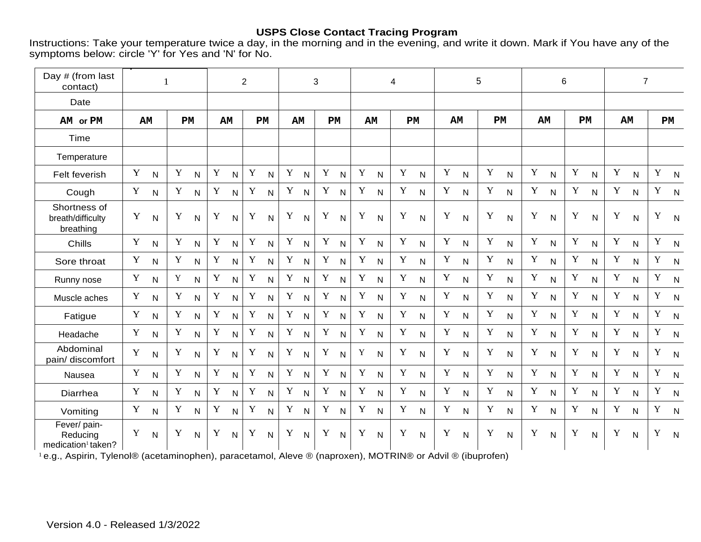Instructions: Take your temperature twice a day, in the morning and in the evening, and write it down. Mark if You have any of the symptoms below: circle 'Y' for Yes and 'N' for No.

| Day # (from last                                           | $\mathbf{1}$ |              |             |                |             |                | $\overline{2}$ |                |             |                | 3           |              |             |                | 4           |                |             |              | 5           |              |             |              | 6           |                |              | $\overline{7}$ |             |                |  |    |
|------------------------------------------------------------|--------------|--------------|-------------|----------------|-------------|----------------|----------------|----------------|-------------|----------------|-------------|--------------|-------------|----------------|-------------|----------------|-------------|--------------|-------------|--------------|-------------|--------------|-------------|----------------|--------------|----------------|-------------|----------------|--|----|
| contact)                                                   |              |              |             |                |             |                |                |                |             |                |             |              |             |                |             |                |             |              |             |              |             |              |             |                |              |                |             |                |  |    |
| Date                                                       |              |              |             |                |             |                |                |                |             |                |             |              |             |                |             |                |             |              |             |              |             |              |             |                |              |                |             |                |  |    |
| AM or PM                                                   |              | AM           |             |                |             | PM             |                | AM             |             | <b>PM</b>      |             | AM           |             | <b>PM</b>      | AM          |                |             | PM           |             | AM           |             | PM           |             | AМ             |              | PM             |             | AM             |  | PM |
| Time                                                       |              |              |             |                |             |                |                |                |             |                |             |              |             |                |             |                |             |              |             |              |             |              |             |                |              |                |             |                |  |    |
| Temperature                                                |              |              |             |                |             |                |                |                |             |                |             |              |             |                |             |                |             |              |             |              |             |              |             |                |              |                |             |                |  |    |
| Felt feverish                                              | $\mathbf Y$  | $\mathsf{N}$ | $\mathbf Y$ | $\mathsf{N}$   | $\mathbf Y$ | $\mathsf{N}$   | $\mathbf Y$    | ${\sf N}$      | $\mathbf Y$ | ${\sf N}$      | Y           | N            | $\mathbf Y$ | $\mathsf{N}$   | $\mathbf Y$ | ${\sf N}$      | $\mathbf Y$ | ${\sf N}$    | $\mathbf Y$ | ${\sf N}$    | $\mathbf Y$ | ${\sf N}$    | Y           | $\mathsf{N}$   | $\mathbf Y$  | $\mathsf{N}$   | $\mathbf Y$ | N              |  |    |
| Cough                                                      | $\mathbf Y$  | $\mathsf{N}$ | $\mathbf Y$ | $\mathsf{N}$   | $\mathbf Y$ | $\mathsf{N}$   | $\mathbf Y$    | $\mathsf{N}$   | $\mathbf Y$ | $\mathsf{N}$   | $\mathbf Y$ | $\mathsf{N}$ | $\mathbf Y$ | $\mathsf{N}$   | $\mathbf Y$ | $\mathsf{N}$   | $\mathbf Y$ | $\mathsf{N}$ | $\mathbf Y$ | N            | $\mathbf Y$ | $\mathsf{N}$ | $\mathbf Y$ | $\mathsf{N}$   | $\mathbf Y$  | $\mathsf{N}$   | $\mathbf Y$ | $\overline{N}$ |  |    |
| Shortness of<br>breath/difficulty<br>breathing             | Y            | $\mathsf{N}$ | Y           | N              | Y           | $\overline{N}$ | $\mathbf Y$    | $\overline{N}$ | Y           | $\mathsf{N}$   | Y           | $\mathsf{N}$ | Y           | $\mathsf{N}$   | Y           | $\mathsf{N}$   | Y           | $\mathsf{N}$ | Y           | $\mathsf{N}$ | Y           | $\mathsf{N}$ | Y           | N              | $\mathbf Y$  | $\mathsf{N}$   | Y           | $\mathsf{N}$   |  |    |
| Chills                                                     | $\mathbf Y$  | $\mathsf{N}$ | Y           | N.             | $\mathbf Y$ | $\overline{N}$ | $\mathbf Y$    | N              | $\mathbf Y$ | $\overline{N}$ | Y           | $\mathsf{N}$ | Y           | $\mathsf{N}$   | $\mathbf Y$ | $\mathsf{N}$   | $\mathbf Y$ | $\mathsf{N}$ | $\mathbf Y$ | N            | Y           | $\mathsf{N}$ | $\mathbf Y$ | $\overline{N}$ | $\mathbf Y$  | $\overline{N}$ | Y           | N              |  |    |
| Sore throat                                                | Y            | $\mathsf{N}$ | Y           | $\mathsf{N}$   | Y           | $\mathsf{N}$   | $\mathbf Y$    | $\mathsf{N}$   | $\mathbf Y$ | N              | Y           | N            | Y           | $\mathsf{N}$   | $\mathbf Y$ | $\mathsf{N}$   | $\mathbf Y$ | $\mathsf{N}$ | $\mathbf Y$ | $\mathsf{N}$ | $\mathbf Y$ | $\mathsf{N}$ | Y           | $\mathsf{N}$   | $\mathbf Y$  | $\mathsf{N}$   | Y           | N              |  |    |
| Runny nose                                                 | Y            | $\mathsf{N}$ | Y           | $\mathsf{N}$   | Y           | $\mathsf{N}$   | $\mathbf Y$    | N              | $\mathbf Y$ | $\mathsf{N}$   | $\mathbf Y$ | $\mathsf{N}$ | Y           | $\mathsf{N}$   | Y           | $\mathsf{N}$   | Y           | $\mathsf{N}$ | $\mathbf Y$ | $\mathsf{N}$ | $\mathbf Y$ | $\mathsf{N}$ | Y           | $\mathsf{N}$   | Y            | $\mathsf{N}$   | Y           | N              |  |    |
| Muscle aches                                               | Y            | $\mathsf{N}$ | Y           | N              | $\mathbf Y$ | N              | $\mathbf Y$    | N              | Y           | $\mathsf{N}$   | Y           | $\mathsf{N}$ | $\mathbf Y$ | N              | $\mathbf Y$ | N              | $\mathbf Y$ | $\mathsf{N}$ | $\mathbf Y$ | N            | $\mathbf Y$ | $\mathsf{N}$ | Y           | $\mathsf{N}$   | $\mathbf Y$  | $\mathsf{N}$   | $\mathbf Y$ | $\overline{N}$ |  |    |
| Fatigue                                                    | Y            | $\mathsf{N}$ | Y           | N.             | $\mathbf Y$ | $\mathsf{N}$   | $\mathbf Y$    | $\mathsf{N}$   | $\mathbf Y$ | $\mathsf{N}$   | $\mathbf Y$ | $\mathsf{N}$ | Y           | N              | Y           | $\mathsf{N}$   | Y           | $\mathsf{N}$ | Y           | $\mathsf{N}$ | Y           | $\mathsf{N}$ | Y           | N.             | Y            | $\mathsf{N}$   | Y           | N              |  |    |
| Headache                                                   | Y            | $\mathsf{N}$ | Y           | $\mathsf{N}$   | $\mathbf Y$ | $\mathsf{N}$   | $\mathbf Y$    | $\mathsf{N}$   | $\mathbf Y$ | $\mathsf{N}$   | Y           | N            | $\mathbf Y$ | $\mathsf{N}$   | Y           | $\mathsf{N}$   | Y           | $\mathsf{N}$ | $\mathbf Y$ | $\mathsf{N}$ | Y           | $\mathsf{N}$ | $\mathbf Y$ | $\mathsf{N}$   | $\mathbf Y$  | $\mathsf{N}$   | Y           | $\mathsf{N}$   |  |    |
| Abdominal<br>pain/ discomfort                              | Y            | $\mathsf{N}$ | Y           | N.             | Y           | $\overline{N}$ | $\mathbf Y$    | N              | Y           | $\mathsf{N}$   | $\mathbf Y$ | N            | $\mathbf Y$ | $\mathsf{N}$   | $\mathbf Y$ | $\mathsf{N}$   | Y           | $\mathsf{N}$ | Y           | $\mathsf{N}$ | $\mathbf Y$ | $\mathsf{N}$ | Y           | $\mathsf{N}$   | Y            | $\mathsf{N}$   | Y           | N              |  |    |
| Nausea                                                     | $\mathbf Y$  | $\mathsf{N}$ | Y           | $\overline{N}$ | $\mathbf Y$ | $\overline{N}$ | $\mathbf Y$    | $\overline{N}$ | Y           | $\mathsf{N}$   | Y           | $\mathsf{N}$ | Y           | N              | $\mathbf Y$ | $\mathsf{N}$   | $\mathbf Y$ | $\mathsf{N}$ | $\mathbf Y$ | $\mathsf{N}$ | $\mathbf Y$ | $\mathsf{N}$ | $\mathbf Y$ | N              | $\mathbf{Y}$ | $\mathsf{N}$   | Y           | $\overline{N}$ |  |    |
| Diarrhea                                                   | $\mathbf Y$  | $\mathsf{N}$ | Y           | $\mathsf{N}$   | $\mathbf Y$ | $\overline{N}$ | $\mathbf Y$    | $\mathsf{N}$   | $\mathbf Y$ | $\mathsf{N}$   | $\mathbf Y$ | $\mathsf{N}$ | $\mathbf Y$ | $\mathsf{N}$   | Y           | $\mathsf{N}$   | Y           | $\mathsf{N}$ | Y           | N            | $\mathbf Y$ | $\mathsf{N}$ | Y           | N              | Y            | $\mathsf{N}$   | Y           | N              |  |    |
| Vomiting                                                   | Y            | $\mathsf{N}$ | $\mathbf Y$ | N.             | $\mathbf Y$ | $\mathsf{N}$   | $\mathbf Y$    | N              | $\mathbf Y$ | $\overline{N}$ | $\mathbf Y$ | $\mathsf{N}$ | $\mathbf Y$ | $\overline{N}$ | $\mathbf Y$ | $\overline{N}$ | $\mathbf Y$ | N            | $\mathbf Y$ | N.           | $\mathbf Y$ | N.           | Y           | $\overline{N}$ | $\mathbf Y$  | $\overline{N}$ | Y           | $\overline{N}$ |  |    |
| Fever/ pain-<br>Reducing<br>medication <sup>1</sup> taken? | Y            | ${\sf N}$    | Y           | $\mathsf{N}$   | Y           | $\mathsf{N}$   | Y              | $\mathsf{N}$   | Y           | $\mathsf{N}$   | Y           | $\mathsf{N}$ | Y           | ${\sf N}$      | Y           | ${\sf N}$      | Y           | $\mathsf{N}$ | Y           | ${\sf N}$    | Y           | ${\sf N}$    | Y           | $\mathsf{N}$   | Y            | $\mathsf{N}$   | Y           | N              |  |    |

<sup>1</sup>e.g., Aspirin, Tylenol® (acetaminophen), paracetamol, Aleve ® (naproxen), MOTRIN® or Advil ® (ibuprofen)